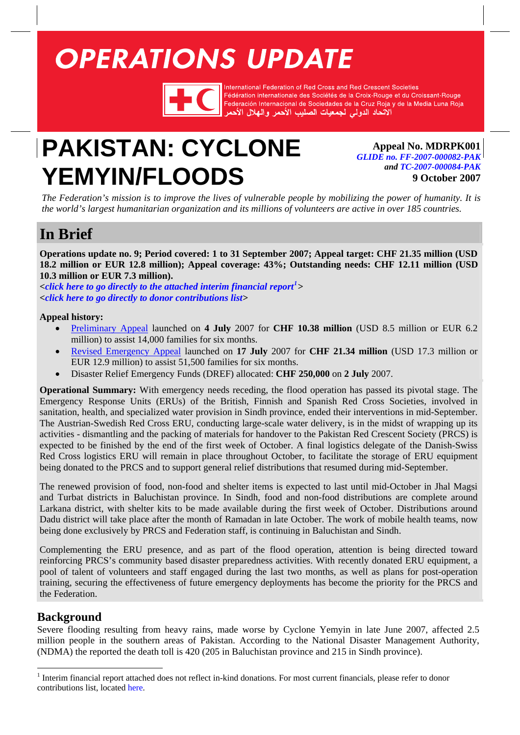# <span id="page-0-1"></span>**OPERATIONS UPDATE**



International Federation of Red Cross and Red Crescent Societies Fédération internationale des Sociétés de la Croix-Rouge et du Croissant-Rouge Federación Internacional de Sociedades de la Cruz Roja y de la Media Luna Roja الآتحاد الدولى لجمعيات الصليب الأحمر والهلال الأه

## **PAKISTAN: CYCLONE YEMYIN/FLOODS**

**Appeal No. MDRPK001** *[GLIDE no. FF-2007-000082-PAK](http://www.glidenumber.net/glide/public/search/details.jsp?glide=17598&record=4&last=55) and [TC-2007-000084-PAK](http://www.glidenumber.net/glide/public/search/details.jsp?glide=17603&record=3&last=55)* **9 October 2007**

*The Federation's mission is to improve the lives of vulnerable people by mobilizing the power of humanity. It is the world's largest humanitarian organization and its millions of volunteers are active in over 185 countries.* 

## **In Brief**

**Operations update no. 9; Period covered: 1 to 31 September 2007; Appeal target: CHF 21.35 million (USD 18.2 million or EUR 12.8 million); Appeal coverage: 43%; Outstanding needs: CHF 12.11 million (USD 10.3 million or EUR 7.3 million).** 

**<***[click here to go directly to the attached interim financial report](#page-11-0)[1](#page-0-0) > [<click here to go directly to donor contributions list>](http://www.ifrc.org/docs/appeals/Active/MDRPK001.pdf)* 

### **Appeal history:**

- [Preliminary Appeal](http://www.ifrc.org/docs/appeals/07/MDRPK001prelim.pdf) launched on **4 July** 2007 for **CHF 10.38 million** (USD 8.5 million or EUR 6.2 million) to assist 14,000 families for six months.
- [Revised Emergency Appeal](http://www.ifrc.org/docs/appeals/07/MDRPK001rev.pdf) launched on **17 July** 2007 for **CHF 21.34 million** (USD 17.3 million or EUR 12.9 million) to assist 51,500 families for six months.
- Disaster Relief Emergency Funds (DREF) allocated: **CHF 250,000** on **2 July** 2007.

**Operational Summary:** With emergency needs receding, the flood operation has passed its pivotal stage. The Emergency Response Units (ERUs) of the British, Finnish and Spanish Red Cross Societies, involved in sanitation, health, and specialized water provision in Sindh province, ended their interventions in mid-September. The Austrian-Swedish Red Cross ERU, conducting large-scale water delivery, is in the midst of wrapping up its activities - dismantling and the packing of materials for handover to the Pakistan Red Crescent Society (PRCS) is expected to be finished by the end of the first week of October. A final logistics delegate of the Danish-Swiss Red Cross logistics ERU will remain in place throughout October, to facilitate the storage of ERU equipment being donated to the PRCS and to support general relief distributions that resumed during mid-September.

The renewed provision of food, non-food and shelter items is expected to last until mid-October in Jhal Magsi and Turbat districts in Baluchistan province. In Sindh, food and non-food distributions are complete around Larkana district, with shelter kits to be made available during the first week of October. Distributions around Dadu district will take place after the month of Ramadan in late October. The work of mobile health teams, now being done exclusively by PRCS and Federation staff, is continuing in Baluchistan and Sindh.

Complementing the ERU presence, and as part of the flood operation, attention is being directed toward reinforcing PRCS's community based disaster preparedness activities. With recently donated ERU equipment, a pool of talent of volunteers and staff engaged during the last two months, as well as plans for post-operation training, securing the effectiveness of future emergency deployments has become the priority for the PRCS and the Federation.

## **Background**

Severe flooding resulting from heavy rains, made worse by Cyclone Yemyin in late June 2007, affected 2.5 million people in the southern areas of Pakistan. According to the National Disaster Management Authority, (NDMA) the reported the death toll is 420 (205 in Baluchistan province and 215 in Sindh province).

<span id="page-0-0"></span><sup>&</sup>lt;sup>1</sup> Interim financial report attached does not reflect in-kind donations. For most current financials, please refer to donor contributions list, located [here.](http://www.ifrc.org/docs/appeals/Active/MDRPK001.pdf)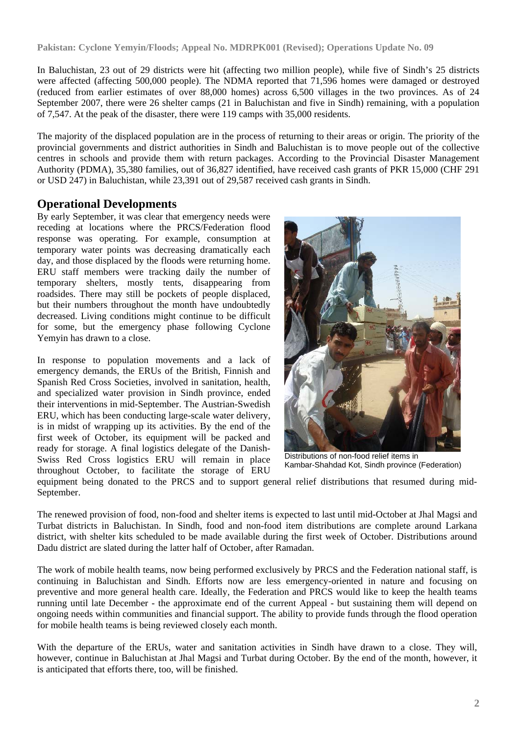In Baluchistan, 23 out of 29 districts were hit (affecting two million people), while five of Sindh's 25 districts were affected (affecting 500,000 people). The NDMA reported that 71,596 homes were damaged or destroyed (reduced from earlier estimates of over 88,000 homes) across 6,500 villages in the two provinces. As of 24 September 2007, there were 26 shelter camps (21 in Baluchistan and five in Sindh) remaining, with a population of 7,547. At the peak of the disaster, there were 119 camps with 35,000 residents.

The majority of the displaced population are in the process of returning to their areas or origin. The priority of the provincial governments and district authorities in Sindh and Baluchistan is to move people out of the collective centres in schools and provide them with return packages. According to the Provincial Disaster Management Authority (PDMA), 35,380 families, out of 36,827 identified, have received cash grants of PKR 15,000 (CHF 291 or USD 247) in Baluchistan, while 23,391 out of 29,587 received cash grants in Sindh.

## **Operational Developments**

By early September, it was clear that emergency needs were receding at locations where the PRCS/Federation flood response was operating. For example, consumption at temporary water points was decreasing dramatically each day, and those displaced by the floods were returning home. ERU staff members were tracking daily the number of temporary shelters, mostly tents, disappearing from roadsides. There may still be pockets of people displaced, but their numbers throughout the month have undoubtedly decreased. Living conditions might continue to be difficult for some, but the emergency phase following Cyclone Yemyin has drawn to a close.

In response to population movements and a lack of emergency demands, the ERUs of the British, Finnish and Spanish Red Cross Societies, involved in sanitation, health, and specialized water provision in Sindh province, ended their interventions in mid-September. The Austrian-Swedish ERU, which has been conducting large-scale water delivery, is in midst of wrapping up its activities. By the end of the first week of October, its equipment will be packed and ready for storage. A final logistics delegate of the Danish-Swiss Red Cross logistics ERU will remain in place throughout October, to facilitate the storage of ERU



Distributions of non-food relief items in Kambar-Shahdad Kot, Sindh province (Federation)

equipment being donated to the PRCS and to support general relief distributions that resumed during mid-September.

The renewed provision of food, non-food and shelter items is expected to last until mid-October at Jhal Magsi and Turbat districts in Baluchistan. In Sindh, food and non-food item distributions are complete around Larkana district, with shelter kits scheduled to be made available during the first week of October. Distributions around Dadu district are slated during the latter half of October, after Ramadan.

The work of mobile health teams, now being performed exclusively by PRCS and the Federation national staff, is continuing in Baluchistan and Sindh. Efforts now are less emergency-oriented in nature and focusing on preventive and more general health care. Ideally, the Federation and PRCS would like to keep the health teams running until late December - the approximate end of the current Appeal - but sustaining them will depend on ongoing needs within communities and financial support. The ability to provide funds through the flood operation for mobile health teams is being reviewed closely each month.

With the departure of the ERUs, water and sanitation activities in Sindh have drawn to a close. They will, however, continue in Baluchistan at Jhal Magsi and Turbat during October. By the end of the month, however, it is anticipated that efforts there, too, will be finished.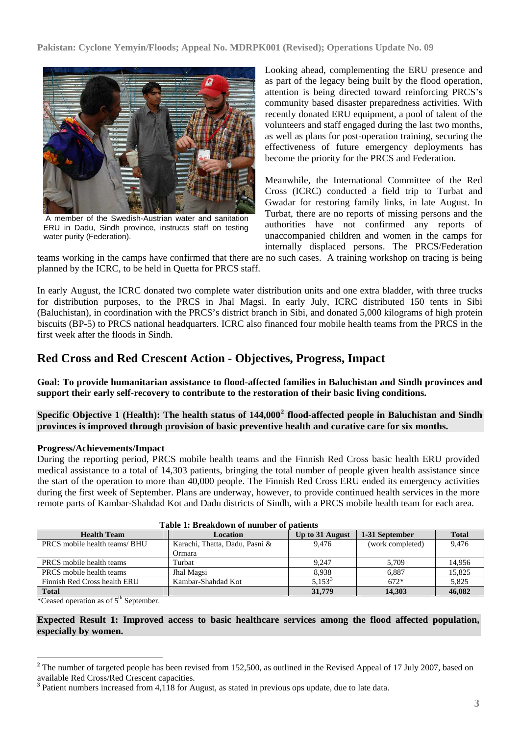

 A member of the Swedish-Austrian water and sanitation ERU in Dadu, Sindh province, instructs staff on testing water purity (Federation).

Looking ahead, complementing the ERU presence and as part of the legacy being built by the flood operation, attention is being directed toward reinforcing PRCS's community based disaster preparedness activities. With recently donated ERU equipment, a pool of talent of the volunteers and staff engaged during the last two months, as well as plans for post-operation training, securing the effectiveness of future emergency deployments has become the priority for the PRCS and Federation.

Meanwhile, the International Committee of the Red Cross (ICRC) conducted a field trip to Turbat and Gwadar for restoring family links, in late August. In Turbat, there are no reports of missing persons and the authorities have not confirmed any reports of unaccompanied children and women in the camps for internally displaced persons. The PRCS/Federation

teams working in the camps have confirmed that there are no such cases. A training workshop on tracing is being planned by the ICRC, to be held in Quetta for PRCS staff.

In early August, the ICRC donated two complete water distribution units and one extra bladder, with three trucks for distribution purposes, to the PRCS in Jhal Magsi. In early July, ICRC distributed 150 tents in Sibi (Baluchistan), in coordination with the PRCS's district branch in Sibi, and donated 5,000 kilograms of high protein biscuits (BP-5) to PRCS national headquarters. ICRC also financed four mobile health teams from the PRCS in the first week after the floods in Sindh.

## **Red Cross and Red Crescent Action - Objectives, Progress, Impact**

**Goal: To provide humanitarian assistance to flood-affected families in Baluchistan and Sindh provinces and support their early self-recovery to contribute to the restoration of their basic living conditions.** 

**Specific Objective 1 (Health): The health status of 144,000[2](#page-2-0) flood-affected people in Baluchistan and Sindh provinces is improved through provision of basic preventive health and curative care for six months.** 

#### **Progress/Achievements/Impact**

During the reporting period, PRCS mobile health teams and the Finnish Red Cross basic health ERU provided medical assistance to a total of 14,303 patients, bringing the total number of people given health assistance since the start of the operation to more than 40,000 people. The Finnish Red Cross ERU ended its emergency activities during the first week of September. Plans are underway, however, to provide continued health services in the more remote parts of Kambar-Shahdad Kot and Dadu districts of Sindh, with a PRCS mobile health team for each area.

| <b>Health Team</b>            | Location                       | Up to 31 August | 1-31 September   | <b>Total</b> |
|-------------------------------|--------------------------------|-----------------|------------------|--------------|
| PRCS mobile health teams/ BHU | Karachi, Thatta, Dadu, Pasni & | 9.476           | (work completed) | 9.476        |
|                               | Ormara                         |                 |                  |              |
| PRCS mobile health teams      | Turbat                         | 9.247           | 5.709            | 14,956       |
| PRCS mobile health teams      | Jhal Magsi                     | 8.938           | 6.887            | 15.825       |
| Finnish Red Cross health ERU  | Kambar-Shahdad Kot             | $5.153^{3}$     | $672*$           | 5.825        |
| <b>Total</b>                  |                                | 31,779          | 14.303           | 46,082       |

**Table 1: Breakdown of number of patients** 

\*Ceased operation as of 5<sup>th</sup> September.

**Expected Result 1: Improved access to basic healthcare services among the flood affected population, especially by women.** 

<span id="page-2-0"></span><sup>&</sup>lt;sup>2</sup> The number of targeted people has been revised from 152,500, as outlined in the Revised Appeal of 17 July 2007, based on available Red Cross/Red Crescent capacities.

<span id="page-2-1"></span><sup>&</sup>lt;sup>3</sup> Patient numbers increased from 4,118 for August, as stated in previous ops update, due to late data.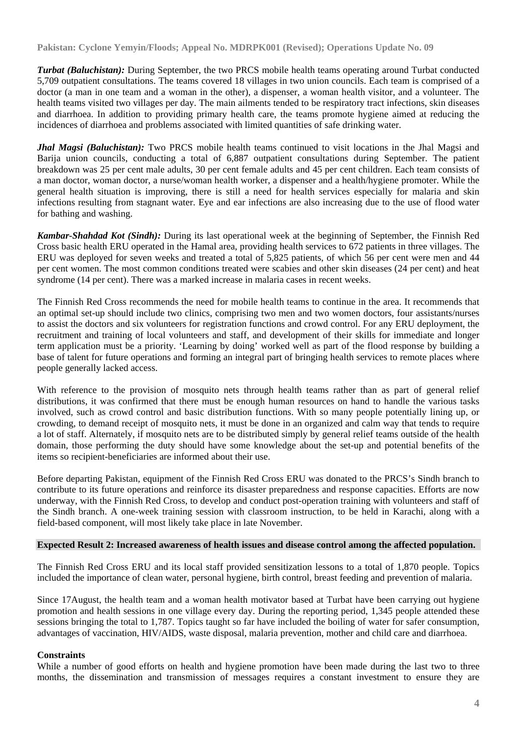*Turbat (Baluchistan):* During September, the two PRCS mobile health teams operating around Turbat conducted 5,709 outpatient consultations. The teams covered 18 villages in two union councils. Each team is comprised of a doctor (a man in one team and a woman in the other), a dispenser, a woman health visitor, and a volunteer. The health teams visited two villages per day. The main ailments tended to be respiratory tract infections, skin diseases and diarrhoea. In addition to providing primary health care, the teams promote hygiene aimed at reducing the incidences of diarrhoea and problems associated with limited quantities of safe drinking water.

*Jhal Magsi (Baluchistan):* Two PRCS mobile health teams continued to visit locations in the Jhal Magsi and Barija union councils, conducting a total of 6,887 outpatient consultations during September. The patient breakdown was 25 per cent male adults, 30 per cent female adults and 45 per cent children. Each team consists of a man doctor, woman doctor, a nurse/woman health worker, a dispenser and a health/hygiene promoter. While the general health situation is improving, there is still a need for health services especially for malaria and skin infections resulting from stagnant water. Eye and ear infections are also increasing due to the use of flood water for bathing and washing.

*Kambar-Shahdad Kot (Sindh):* During its last operational week at the beginning of September, the Finnish Red Cross basic health ERU operated in the Hamal area, providing health services to 672 patients in three villages. The ERU was deployed for seven weeks and treated a total of 5,825 patients, of which 56 per cent were men and 44 per cent women. The most common conditions treated were scabies and other skin diseases (24 per cent) and heat syndrome (14 per cent). There was a marked increase in malaria cases in recent weeks.

The Finnish Red Cross recommends the need for mobile health teams to continue in the area. It recommends that an optimal set-up should include two clinics, comprising two men and two women doctors, four assistants/nurses to assist the doctors and six volunteers for registration functions and crowd control. For any ERU deployment, the recruitment and training of local volunteers and staff, and development of their skills for immediate and longer term application must be a priority. 'Learning by doing' worked well as part of the flood response by building a base of talent for future operations and forming an integral part of bringing health services to remote places where people generally lacked access.

With reference to the provision of mosquito nets through health teams rather than as part of general relief distributions, it was confirmed that there must be enough human resources on hand to handle the various tasks involved, such as crowd control and basic distribution functions. With so many people potentially lining up, or crowding, to demand receipt of mosquito nets, it must be done in an organized and calm way that tends to require a lot of staff. Alternately, if mosquito nets are to be distributed simply by general relief teams outside of the health domain, those performing the duty should have some knowledge about the set-up and potential benefits of the items so recipient-beneficiaries are informed about their use.

Before departing Pakistan, equipment of the Finnish Red Cross ERU was donated to the PRCS's Sindh branch to contribute to its future operations and reinforce its disaster preparedness and response capacities. Efforts are now underway, with the Finnish Red Cross, to develop and conduct post-operation training with volunteers and staff of the Sindh branch. A one-week training session with classroom instruction, to be held in Karachi, along with a field-based component, will most likely take place in late November.

#### **Expected Result 2: Increased awareness of health issues and disease control among the affected population.**

The Finnish Red Cross ERU and its local staff provided sensitization lessons to a total of 1,870 people. Topics included the importance of clean water, personal hygiene, birth control, breast feeding and prevention of malaria.

Since 17August, the health team and a woman health motivator based at Turbat have been carrying out hygiene promotion and health sessions in one village every day. During the reporting period, 1,345 people attended these sessions bringing the total to 1,787. Topics taught so far have included the boiling of water for safer consumption, advantages of vaccination, HIV/AIDS, waste disposal, malaria prevention, mother and child care and diarrhoea.

#### **Constraints**

While a number of good efforts on health and hygiene promotion have been made during the last two to three months, the dissemination and transmission of messages requires a constant investment to ensure they are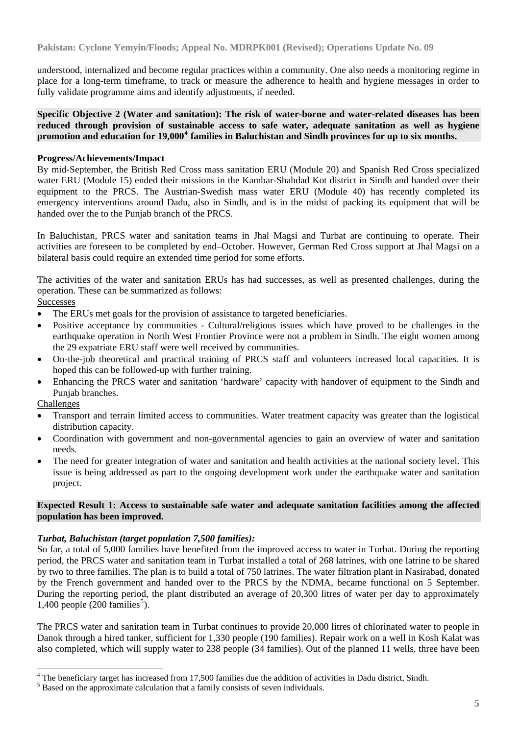understood, internalized and become regular practices within a community. One also needs a monitoring regime in place for a long-term timeframe, to track or measure the adherence to health and hygiene messages in order to fully validate programme aims and identify adjustments, if needed.

**Specific Objective 2 (Water and sanitation): The risk of water-borne and water-related diseases has been reduced through provision of sustainable access to safe water, adequate sanitation as well as hygiene promotion and education for 19,000[4](#page-4-0) families in Baluchistan and Sindh provinces for up to six months.**

#### **Progress/Achievements/Impact**

By mid-September, the British Red Cross mass sanitation ERU (Module 20) and Spanish Red Cross specialized water ERU (Module 15) ended their missions in the Kambar-Shahdad Kot district in Sindh and handed over their equipment to the PRCS. The Austrian-Swedish mass water ERU (Module 40) has recently completed its emergency interventions around Dadu, also in Sindh, and is in the midst of packing its equipment that will be handed over the to the Punjab branch of the PRCS.

In Baluchistan, PRCS water and sanitation teams in Jhal Magsi and Turbat are continuing to operate. Their activities are foreseen to be completed by end–October. However, German Red Cross support at Jhal Magsi on a bilateral basis could require an extended time period for some efforts.

The activities of the water and sanitation ERUs has had successes, as well as presented challenges, during the operation. These can be summarized as follows:

#### **Successes**

- The ERUs met goals for the provision of assistance to targeted beneficiaries.
- Positive acceptance by communities Cultural/religious issues which have proved to be challenges in the earthquake operation in North West Frontier Province were not a problem in Sindh. The eight women among the 29 expatriate ERU staff were well received by communities.
- On-the-job theoretical and practical training of PRCS staff and volunteers increased local capacities. It is hoped this can be followed-up with further training.
- Enhancing the PRCS water and sanitation 'hardware' capacity with handover of equipment to the Sindh and Punjab branches.

#### Challenges

- Transport and terrain limited access to communities. Water treatment capacity was greater than the logistical distribution capacity.
- Coordination with government and non-governmental agencies to gain an overview of water and sanitation needs.
- The need for greater integration of water and sanitation and health activities at the national society level. This issue is being addressed as part to the ongoing development work under the earthquake water and sanitation project.

#### **Expected Result 1: Access to sustainable safe water and adequate sanitation facilities among the affected population has been improved.**

#### *Turbat, Baluchistan (target population 7,500 families):*

So far, a total of 5,000 families have benefited from the improved access to water in Turbat. During the reporting period, the PRCS water and sanitation team in Turbat installed a total of 268 latrines, with one latrine to be shared by two to three families. The plan is to build a total of 750 latrines. The water filtration plant in Nasirabad, donated by the French government and handed over to the PRCS by the NDMA, became functional on 5 September. During the reporting period, the plant distributed an average of 20,300 litres of water per day to approximately  $1,400$  people  $(200 \text{ families}^5)$  $(200 \text{ families}^5)$  $(200 \text{ families}^5)$ .

The PRCS water and sanitation team in Turbat continues to provide 20,000 litres of chlorinated water to people in Danok through a hired tanker, sufficient for 1,330 people (190 families). Repair work on a well in Kosh Kalat was also completed, which will supply water to 238 people (34 families). Out of the planned 11 wells, three have been

<span id="page-4-0"></span><sup>&</sup>lt;sup>4</sup> The beneficiary target has increased from 17,500 families due the addition of activities in Dadu district, Sindh.

<span id="page-4-1"></span><sup>&</sup>lt;sup>5</sup> Based on the approximate calculation that a family consists of seven individuals.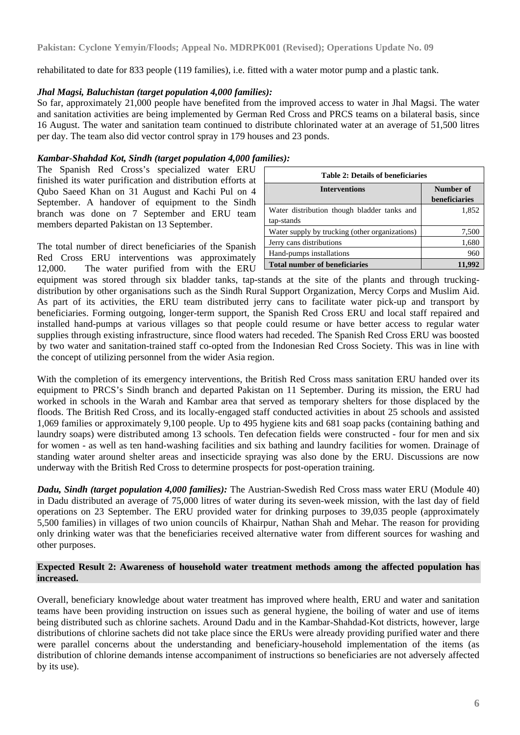rehabilitated to date for 833 people (119 families), i.e. fitted with a water motor pump and a plastic tank.

#### *Jhal Magsi, Baluchistan (target population 4,000 families):*

So far, approximately 21,000 people have benefited from the improved access to water in Jhal Magsi. The water and sanitation activities are being implemented by German Red Cross and PRCS teams on a bilateral basis, since 16 August. The water and sanitation team continued to distribute chlorinated water at an average of 51,500 litres per day. The team also did vector control spray in 179 houses and 23 ponds.

#### *Kambar-Shahdad Kot, Sindh (target population 4,000 families):*

The Spanish Red Cross's specialized water ERU finished its water purification and distribution efforts at Qubo Saeed Khan on 31 August and Kachi Pul on 4 September. A handover of equipment to the Sindh branch was done on 7 September and ERU team members departed Pakistan on 13 September.

The total number of direct beneficiaries of the Spanish Red Cross ERU interventions was approximately 12,000.The water purified from with the ERU

| <b>Table 2: Details of beneficiaries</b>                  |                            |  |  |  |  |
|-----------------------------------------------------------|----------------------------|--|--|--|--|
| <b>Interventions</b>                                      | Number of<br>beneficiaries |  |  |  |  |
| Water distribution though bladder tanks and<br>tap-stands | 1,852                      |  |  |  |  |
| Water supply by trucking (other organizations)            | 7,500                      |  |  |  |  |
| Jerry cans distributions                                  | 1,680                      |  |  |  |  |
| Hand-pumps installations                                  | 960                        |  |  |  |  |
| <b>Total number of beneficiaries</b>                      |                            |  |  |  |  |

equipment was stored through six bladder tanks, tap-stands at the site of the plants and through truckingdistribution by other organisations such as the Sindh Rural Support Organization, Mercy Corps and Muslim Aid. As part of its activities, the ERU team distributed jerry cans to facilitate water pick-up and transport by beneficiaries. Forming outgoing, longer-term support, the Spanish Red Cross ERU and local staff repaired and installed hand-pumps at various villages so that people could resume or have better access to regular water supplies through existing infrastructure, since flood waters had receded. The Spanish Red Cross ERU was boosted by two water and sanitation-trained staff co-opted from the Indonesian Red Cross Society. This was in line with the concept of utilizing personnel from the wider Asia region.

With the completion of its emergency interventions, the British Red Cross mass sanitation ERU handed over its equipment to PRCS's Sindh branch and departed Pakistan on 11 September. During its mission, the ERU had worked in schools in the Warah and Kambar area that served as temporary shelters for those displaced by the floods. The British Red Cross, and its locally-engaged staff conducted activities in about 25 schools and assisted 1,069 families or approximately 9,100 people. Up to 495 hygiene kits and 681 soap packs (containing bathing and laundry soaps) were distributed among 13 schools. Ten defecation fields were constructed - four for men and six for women - as well as ten hand-washing facilities and six bathing and laundry facilities for women. Drainage of standing water around shelter areas and insecticide spraying was also done by the ERU. Discussions are now underway with the British Red Cross to determine prospects for post-operation training.

*Dadu, Sindh (target population 4,000 families):* The Austrian-Swedish Red Cross mass water ERU (Module 40) in Dadu distributed an average of 75,000 litres of water during its seven-week mission, with the last day of field operations on 23 September. The ERU provided water for drinking purposes to 39,035 people (approximately 5,500 families) in villages of two union councils of Khairpur, Nathan Shah and Mehar. The reason for providing only drinking water was that the beneficiaries received alternative water from different sources for washing and other purposes.

#### **Expected Result 2: Awareness of household water treatment methods among the affected population has increased.**

Overall, beneficiary knowledge about water treatment has improved where health, ERU and water and sanitation teams have been providing instruction on issues such as general hygiene, the boiling of water and use of items being distributed such as chlorine sachets. Around Dadu and in the Kambar-Shahdad-Kot districts, however, large distributions of chlorine sachets did not take place since the ERUs were already providing purified water and there were parallel concerns about the understanding and beneficiary-household implementation of the items (as distribution of chlorine demands intense accompaniment of instructions so beneficiaries are not adversely affected by its use).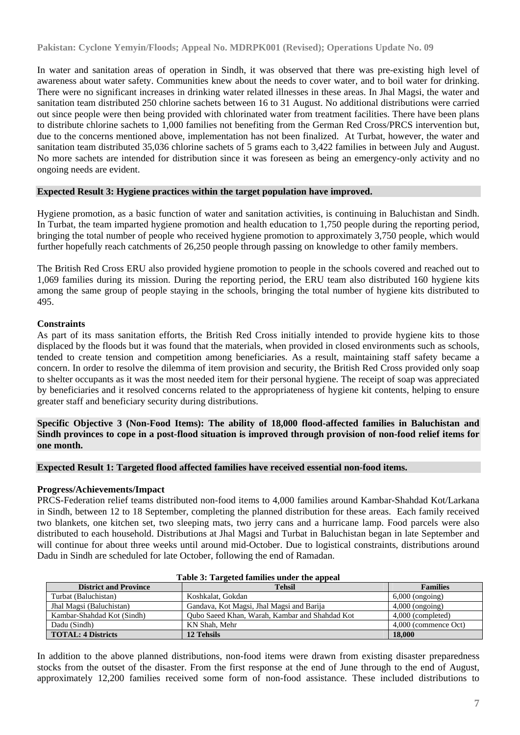In water and sanitation areas of operation in Sindh, it was observed that there was pre-existing high level of awareness about water safety. Communities knew about the needs to cover water, and to boil water for drinking. There were no significant increases in drinking water related illnesses in these areas. In Jhal Magsi, the water and sanitation team distributed 250 chlorine sachets between 16 to 31 August. No additional distributions were carried out since people were then being provided with chlorinated water from treatment facilities. There have been plans to distribute chlorine sachets to 1,000 families not benefiting from the German Red Cross/PRCS intervention but, due to the concerns mentioned above, implementation has not been finalized. At Turbat, however, the water and sanitation team distributed 35,036 chlorine sachets of 5 grams each to 3,422 families in between July and August. No more sachets are intended for distribution since it was foreseen as being an emergency-only activity and no ongoing needs are evident.

#### **Expected Result 3: Hygiene practices within the target population have improved.**

Hygiene promotion, as a basic function of water and sanitation activities, is continuing in Baluchistan and Sindh. In Turbat, the team imparted hygiene promotion and health education to 1,750 people during the reporting period, bringing the total number of people who received hygiene promotion to approximately 3,750 people, which would further hopefully reach catchments of 26,250 people through passing on knowledge to other family members.

The British Red Cross ERU also provided hygiene promotion to people in the schools covered and reached out to 1,069 families during its mission. During the reporting period, the ERU team also distributed 160 hygiene kits among the same group of people staying in the schools, bringing the total number of hygiene kits distributed to 495.

#### **Constraints**

As part of its mass sanitation efforts, the British Red Cross initially intended to provide hygiene kits to those displaced by the floods but it was found that the materials, when provided in closed environments such as schools, tended to create tension and competition among beneficiaries. As a result, maintaining staff safety became a concern. In order to resolve the dilemma of item provision and security, the British Red Cross provided only soap to shelter occupants as it was the most needed item for their personal hygiene. The receipt of soap was appreciated by beneficiaries and it resolved concerns related to the appropriateness of hygiene kit contents, helping to ensure greater staff and beneficiary security during distributions.

**Specific Objective 3 (Non-Food Items): The ability of 18,000 flood-affected families in Baluchistan and Sindh provinces to cope in a post-flood situation is improved through provision of non-food relief items for one month.** 

#### **Expected Result 1: Targeted flood affected families have received essential non-food items.**

#### **Progress/Achievements/Impact**

PRCS-Federation relief teams distributed non-food items to 4,000 families around Kambar-Shahdad Kot/Larkana in Sindh, between 12 to 18 September, completing the planned distribution for these areas. Each family received two blankets, one kitchen set, two sleeping mats, two jerry cans and a hurricane lamp. Food parcels were also distributed to each household. Distributions at Jhal Magsi and Turbat in Baluchistan began in late September and will continue for about three weeks until around mid-October. Due to logistical constraints, distributions around Dadu in Sindh are scheduled for late October, following the end of Ramadan.

| Table 5. Talgettu lallilles unuel the appeal |                                                |                      |  |  |  |  |  |
|----------------------------------------------|------------------------------------------------|----------------------|--|--|--|--|--|
| <b>District and Province</b>                 | <b>Tehsil</b>                                  | <b>Families</b>      |  |  |  |  |  |
| Turbat (Baluchistan)                         | Koshkalat, Gokdan                              | $6,000$ (ongoing)    |  |  |  |  |  |
| Jhal Magsi (Baluchistan)                     | Gandava, Kot Magsi, Jhal Magsi and Barija      | $4,000$ (ongoing)    |  |  |  |  |  |
| Kambar-Shahdad Kot (Sindh)                   | Oubo Saeed Khan, Warah, Kambar and Shahdad Kot | 4,000 (completed)    |  |  |  |  |  |
| Dadu (Sindh)                                 | KN Shah, Mehr                                  | 4,000 (commence Oct) |  |  |  |  |  |
| <b>TOTAL: 4 Districts</b>                    | 12 Tehsils                                     | 18,000               |  |  |  |  |  |

#### **Table 3: Targeted families under the appeal**

In addition to the above planned distributions, non-food items were drawn from existing disaster preparedness stocks from the outset of the disaster. From the first response at the end of June through to the end of August, approximately 12,200 families received some form of non-food assistance. These included distributions to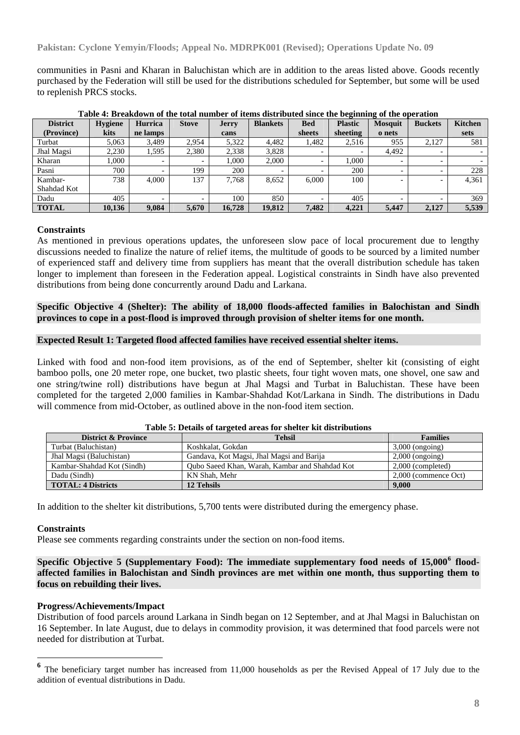communities in Pasni and Kharan in Baluchistan which are in addition to the areas listed above. Goods recently purchased by the Federation will still be used for the distributions scheduled for September, but some will be used to replenish PRCS stocks.

| <b>District</b> | <b>Hygiene</b> | Hurrica                  | <b>Stove</b> | <b>Jerry</b> | <b>Blankets</b> | <b>Bed</b>               | <b>Plastic</b> | <b>Mosquit</b>           | <b>Buckets</b> | <b>Kitchen</b> |
|-----------------|----------------|--------------------------|--------------|--------------|-----------------|--------------------------|----------------|--------------------------|----------------|----------------|
| (Province)      | kits           | ne lamps                 |              | cans         |                 | sheets                   | sheeting       | o nets                   |                | sets           |
| Turbat          | 5.063          | 3,489                    | 2.954        | 5,322        | 4,482           | 1,482                    | 2,516          | 955                      | 2,127          | 581            |
| Jhal Magsi      | 2.230          | 1,595                    | 2,380        | 2,338        | 3.828           | $\overline{\phantom{0}}$ |                | 4,492                    |                |                |
| Kharan          | .000           | $\overline{\phantom{0}}$ |              | 1,000        | 2,000           | $\overline{\phantom{0}}$ | 000.1          | $\overline{\phantom{0}}$ |                |                |
| Pasni           | 700            |                          | 199          | 200          |                 |                          | 200            | $\overline{\phantom{0}}$ |                | 228            |
| Kambar-         | 738            | 4.000                    | 137          | 7.768        | 8,652           | 6.000                    | 100            | $\overline{\phantom{0}}$ |                | 4,361          |
| Shahdad Kot     |                |                          |              |              |                 |                          |                |                          |                |                |
| Dadu            | 405            | $\overline{\phantom{0}}$ |              | 100          | 850             | -                        | 405            | -                        |                | 369            |
| <b>TOTAL</b>    | 10,136         | 9.084                    | 5.670        | 16,728       | 19,812          | 7.482                    | 4,221          | 5.447                    | 2,127          | 5,539          |

**Table 4: Breakdown of the total number of items distributed since the beginning of the operation** 

#### **Constraints**

As mentioned in previous operations updates, the unforeseen slow pace of local procurement due to lengthy discussions needed to finalize the nature of relief items, the multitude of goods to be sourced by a limited number of experienced staff and delivery time from suppliers has meant that the overall distribution schedule has taken longer to implement than foreseen in the Federation appeal. Logistical constraints in Sindh have also prevented distributions from being done concurrently around Dadu and Larkana.

#### **Specific Objective 4 (Shelter): The ability of 18,000 floods-affected families in Balochistan and Sindh provinces to cope in a post-flood is improved through provision of shelter items for one month.**

#### **Expected Result 1: Targeted flood affected families have received essential shelter items.**

Linked with food and non-food item provisions, as of the end of September, shelter kit (consisting of eight bamboo polls, one 20 meter rope, one bucket, two plastic sheets, four tight woven mats, one shovel, one saw and one string/twine roll) distributions have begun at Jhal Magsi and Turbat in Baluchistan. These have been completed for the targeted 2,000 families in Kambar-Shahdad Kot/Larkana in Sindh. The distributions in Dadu will commence from mid-October, as outlined above in the non-food item section.

| <b>District &amp; Province</b> | <b>Tehsil</b>                                  | <b>Families</b>      |
|--------------------------------|------------------------------------------------|----------------------|
| Turbat (Baluchistan)           | Koshkalat, Gokdan                              | $3,000$ (ongoing)    |
| Jhal Magsi (Baluchistan)       | Gandava, Kot Magsi, Jhal Magsi and Barija      | $2,000$ (ongoing)    |
| Kambar-Shahdad Kot (Sindh)     | Qubo Saeed Khan, Warah, Kambar and Shahdad Kot | $2,000$ (completed)  |
| Dadu (Sindh)                   | KN Shah, Mehr                                  | 2,000 (commence Oct) |
| <b>TOTAL: 4 Districts</b>      | 12 Tehsils                                     | 9.000                |

#### **Table 5: Details of targeted areas for shelter kit distributions**

In addition to the shelter kit distributions, 5,700 tents were distributed during the emergency phase.

#### **Constraints**

Please see comments regarding constraints under the section on non-food items.

Specific Objective 5 (Supplementary Food): The immediate supplementary food needs of 15,000<sup>[6](#page-7-0)</sup> flood**affected families in Balochistan and Sindh provinces are met within one month, thus supporting them to focus on rebuilding their lives.** 

#### **Progress/Achievements/Impact**

Distribution of food parcels around Larkana in Sindh began on 12 September, and at Jhal Magsi in Baluchistan on 16 September. In late August, due to delays in commodity provision, it was determined that food parcels were not needed for distribution at Turbat.

<span id="page-7-0"></span>The beneficiary target number has increased from 11,000 households as per the Revised Appeal of 17 July due to the addition of eventual distributions in Dadu.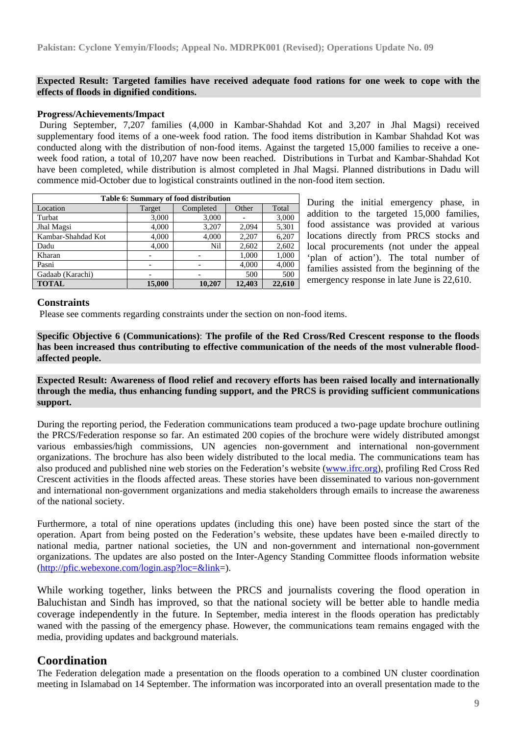#### **Expected Result: Targeted families have received adequate food rations for one week to cope with the effects of floods in dignified conditions.**

#### **Progress/Achievements/Impact**

 During September, 7,207 families (4,000 in Kambar-Shahdad Kot and 3,207 in Jhal Magsi) received supplementary food items of a one-week food ration. The food items distribution in Kambar Shahdad Kot was conducted along with the distribution of non-food items. Against the targeted 15,000 families to receive a oneweek food ration, a total of 10,207 have now been reached. Distributions in Turbat and Kambar-Shahdad Kot have been completed, while distribution is almost completed in Jhal Magsi. Planned distributions in Dadu will commence mid-October due to logistical constraints outlined in the non-food item section.

| Table 6: Summary of food distribution |        |                          |        |        |  |  |  |
|---------------------------------------|--------|--------------------------|--------|--------|--|--|--|
| Location                              | Target | Other<br>Completed       |        |        |  |  |  |
| Turbat                                | 3,000  | 3,000                    |        | 3,000  |  |  |  |
| Jhal Magsi                            | 4,000  | 3,207                    | 2,094  | 5,301  |  |  |  |
| Kambar-Shahdad Kot                    | 4,000  | 4,000                    | 2,207  | 6,207  |  |  |  |
| Dadu                                  | 4,000  | Nil                      | 2,602  | 2,602  |  |  |  |
| Kharan                                |        |                          | 1,000  | 1,000  |  |  |  |
| Pasni                                 |        |                          | 4.000  | 4,000  |  |  |  |
| Gadaab (Karachi)                      |        | $\overline{\phantom{0}}$ | 500    | 500    |  |  |  |
| <b>TOTAL</b>                          | 15,000 | 10.207                   | 12,403 | 22,610 |  |  |  |

During the initial emergency phase, in addition to the targeted 15,000 families, food assistance was provided at various locations directly from PRCS stocks and local procurements (not under the appeal 'plan of action'). The total number of families assisted from the beginning of the emergency response in late June is 22,610.

#### **Constraints**

Please see comments regarding constraints under the section on non-food items.

**Specific Objective 6 (Communications)**: **The profile of the Red Cross/Red Crescent response to the floods has been increased thus contributing to effective communication of the needs of the most vulnerable floodaffected people.**

#### **Expected Result: Awareness of flood relief and recovery efforts has been raised locally and internationally through the media, thus enhancing funding support, and the PRCS is providing sufficient communications support.**

During the reporting period, the Federation communications team produced a two-page update brochure outlining the PRCS/Federation response so far. An estimated 200 copies of the brochure were widely distributed amongst various embassies/high commissions, UN agencies non-government and international non-government organizations. The brochure has also been widely distributed to the local media. The communications team has also produced and published nine web stories on the Federation's website [\(www.ifrc.org](http://www.ifrc.org/)), profiling Red Cross Red Crescent activities in the floods affected areas. These stories have been disseminated to various non-government and international non-government organizations and media stakeholders through emails to increase the awareness of the national society.

Furthermore, a total of nine operations updates (including this one) have been posted since the start of the operation. Apart from being posted on the Federation's website, these updates have been e-mailed directly to national media, partner national societies, the UN and non-government and international non-government organizations. The updates are also posted on the Inter-Agency Standing Committee floods information website [\(http://pfic.webexone.com/login.asp?loc=&link=](http://pfic.webexone.com/login.asp?loc=&link)).

While working together, links between the PRCS and journalists covering the flood operation in Baluchistan and Sindh has improved, so that the national society will be better able to handle media coverage independently in the future. In September, media interest in the floods operation has predictably waned with the passing of the emergency phase. However, the communications team remains engaged with the media, providing updates and background materials.

### **Coordination**

The Federation delegation made a presentation on the floods operation to a combined UN cluster coordination meeting in Islamabad on 14 September. The information was incorporated into an overall presentation made to the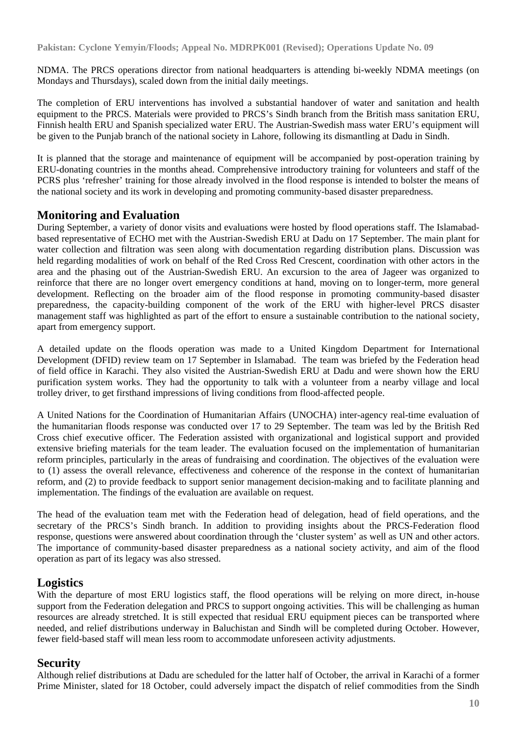NDMA. The PRCS operations director from national headquarters is attending bi-weekly NDMA meetings (on Mondays and Thursdays), scaled down from the initial daily meetings.

The completion of ERU interventions has involved a substantial handover of water and sanitation and health equipment to the PRCS. Materials were provided to PRCS's Sindh branch from the British mass sanitation ERU, Finnish health ERU and Spanish specialized water ERU. The Austrian-Swedish mass water ERU's equipment will be given to the Punjab branch of the national society in Lahore, following its dismantling at Dadu in Sindh.

It is planned that the storage and maintenance of equipment will be accompanied by post-operation training by ERU-donating countries in the months ahead. Comprehensive introductory training for volunteers and staff of the PCRS plus 'refresher' training for those already involved in the flood response is intended to bolster the means of the national society and its work in developing and promoting community-based disaster preparedness.

## **Monitoring and Evaluation**

During September, a variety of donor visits and evaluations were hosted by flood operations staff. The Islamabadbased representative of ECHO met with the Austrian-Swedish ERU at Dadu on 17 September. The main plant for water collection and filtration was seen along with documentation regarding distribution plans. Discussion was held regarding modalities of work on behalf of the Red Cross Red Crescent, coordination with other actors in the area and the phasing out of the Austrian-Swedish ERU. An excursion to the area of Jageer was organized to reinforce that there are no longer overt emergency conditions at hand, moving on to longer-term, more general development. Reflecting on the broader aim of the flood response in promoting community-based disaster preparedness, the capacity-building component of the work of the ERU with higher-level PRCS disaster management staff was highlighted as part of the effort to ensure a sustainable contribution to the national society, apart from emergency support.

A detailed update on the floods operation was made to a United Kingdom Department for International Development (DFID) review team on 17 September in Islamabad. The team was briefed by the Federation head of field office in Karachi. They also visited the Austrian-Swedish ERU at Dadu and were shown how the ERU purification system works. They had the opportunity to talk with a volunteer from a nearby village and local trolley driver, to get firsthand impressions of living conditions from flood-affected people.

A United Nations for the Coordination of Humanitarian Affairs (UNOCHA) inter-agency real-time evaluation of the humanitarian floods response was conducted over 17 to 29 September. The team was led by the British Red Cross chief executive officer. The Federation assisted with organizational and logistical support and provided extensive briefing materials for the team leader. The evaluation focused on the implementation of humanitarian reform principles, particularly in the areas of fundraising and coordination. The objectives of the evaluation were to (1) assess the overall relevance, effectiveness and coherence of the response in the context of humanitarian reform, and (2) to provide feedback to support senior management decision-making and to facilitate planning and implementation. The findings of the evaluation are available on request.

The head of the evaluation team met with the Federation head of delegation, head of field operations, and the secretary of the PRCS's Sindh branch. In addition to providing insights about the PRCS-Federation flood response, questions were answered about coordination through the 'cluster system' as well as UN and other actors. The importance of community-based disaster preparedness as a national society activity, and aim of the flood operation as part of its legacy was also stressed.

## **Logistics**

With the departure of most ERU logistics staff, the flood operations will be relying on more direct, in-house support from the Federation delegation and PRCS to support ongoing activities. This will be challenging as human resources are already stretched. It is still expected that residual ERU equipment pieces can be transported where needed, and relief distributions underway in Baluchistan and Sindh will be completed during October. However, fewer field-based staff will mean less room to accommodate unforeseen activity adjustments.

## **Security**

Although relief distributions at Dadu are scheduled for the latter half of October, the arrival in Karachi of a former Prime Minister, slated for 18 October, could adversely impact the dispatch of relief commodities from the Sindh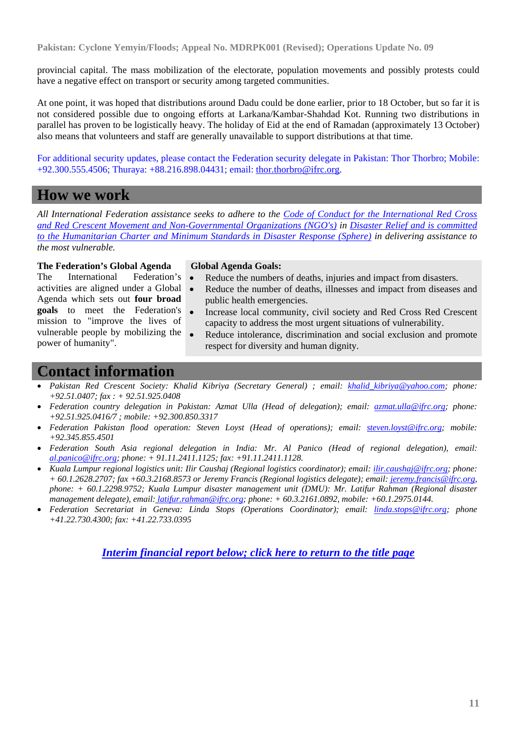provincial capital. The mass mobilization of the electorate, population movements and possibly protests could have a negative effect on transport or security among targeted communities.

At one point, it was hoped that distributions around Dadu could be done earlier, prior to 18 October, but so far it is not considered possible due to ongoing efforts at Larkana/Kambar-Shahdad Kot. Running two distributions in parallel has proven to be logistically heavy. The holiday of Eid at the end of Ramadan (approximately 13 October) also means that volunteers and staff are generally unavailable to support distributions at that time.

For additional security updates, please contact the Federation security delegate in Pakistan: Thor Thorbro; Mobile: +92.300.555.4506; Thuraya: +88.216.898.04431; email: [thor.thorbro@ifrc.org.](mailto:thor.thorbro@ifrc.org)

## **How we work**

*All International Federation assistance seeks to adhere to the [Code of Conduct for the International Red Cross](http://www.ifrc.org/publicat/code.asp)  [and Red Crescent Movement and Non-Governmental Organizations \(NGO's\)](http://www.ifrc.org/publicat/code.asp) in [Disaster Relief and is committed](http://www.sphereproject.org/)  [to the Humanitarian Charter and Minimum Standards in Disaster Response \(Sphere\)](http://www.sphereproject.org/) in delivering assistance to the most vulnerable.* 

### **The Federation's Global Agenda**

The International Federation's activities are aligned under a Global Agenda which sets out **four broad goals** to meet the Federation's mission to "improve the lives of vulnerable people by mobilizing the power of humanity".

#### **Global Agenda Goals:**

- Reduce the numbers of deaths, injuries and impact from disasters.
- Reduce the number of deaths, illnesses and impact from diseases and public health emergencies.
- Increase local community, civil society and Red Cross Red Crescent capacity to address the most urgent situations of vulnerability.
- Reduce intolerance, discrimination and social exclusion and promote respect for diversity and human dignity.

## **Contact information**

- *Pakistan Red Crescent Society: Khalid Kibriya (Secretary General) ; email: [khalid\\_kibriya@yahoo.com;](mailto:khalid_kibriya@yahoo.com) phone: +92.51.0407; fax : + 92.51.925.0408*
- *Federation country delegation in Pakistan: Azmat Ulla (Head of delegation); email: [azmat.ulla@ifrc.org](mailto:azmat.ulla@ifrc.org); phone: +92.51.925.0416/7 ; mobile: +92.300.850.3317*
- *Federation Pakistan flood operation: Steven Loyst (Head of operations); email: [steven.loyst@ifrc.org](mailto:steven.loyst@ifrc.org); mobile: +92.345.855.4501*
- *Federation South Asia regional delegation in India: Mr. Al Panico (Head of regional delegation), email: [al.panico@ifrc.org;](mailto:al.panico@ifrc.org) phone: + 91.11.2411.1125; fax: +91.11.2411.1128.*
- *Kuala Lumpur regional logistics unit: Ilir Caushaj (Regional logistics coordinator); email: [ilir.caushaj@ifrc.org;](mailto:ilir.caushaj@ifrc.org) phone: + 60.1.2628.2707; fax +60.3.2168.8573 or Jeremy Francis (Regional logistics delegate); email: [jeremy.francis@ifrc.org](mailto:jeremy.francis@ifrc.org), phone: + 60.1.2298.9752; Kuala Lumpur disaster management unit (DMU): Mr. Latifur Rahman (Regional disaster management delegate), email: [latifur.rahman@ifrc.org;](mailto:latifur.rahman@ifrc.org) phone: + 60.3.2161.0892, mobile: +60.1.2975.0144.*
- *Federation Secretariat in Geneva: Linda Stops (Operations Coordinator); email: [linda.stops@ifrc.org;](mailto:linda.stops@ifrc.org) phone +41.22.730.4300; fax: +41.22.733.0395*

*[Interim financial report below; click here to return to the title page](#page-0-1)*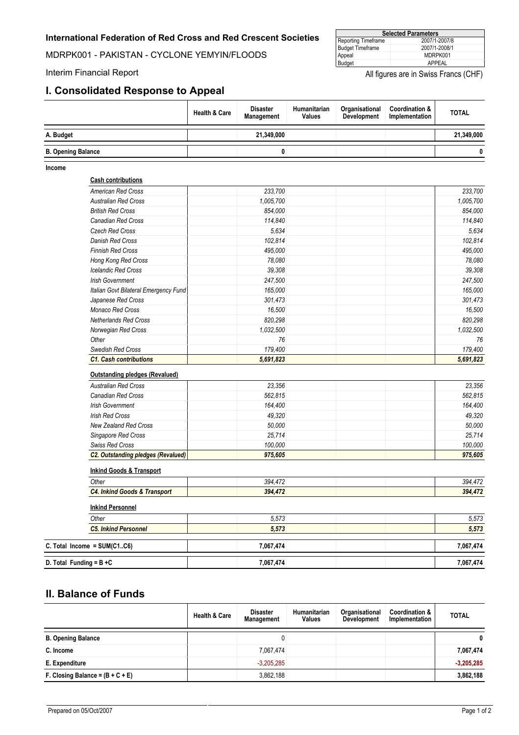<span id="page-11-0"></span>MDRPK001 - PAKISTAN - CYCLONE YEMYIN/FLOODS

#### **I. Consolidated Response to Appeal**

| <b>Selected Parameters</b>           |               |  |  |  |  |
|--------------------------------------|---------------|--|--|--|--|
| 2007/1-2007/8<br>Reporting Timeframe |               |  |  |  |  |
| <b>Budget Timeframe</b>              | 2007/1-2008/1 |  |  |  |  |
| Appeal                               | MDRPK001      |  |  |  |  |
| Budget                               | APPFAL        |  |  |  |  |

Interim Financial Report **Interim Financial Report Interim Financial Report** 

|                           | <b>Health &amp; Care</b> | <b>Disaster</b><br><b>Management</b> | <b>Humanitarian</b><br><b>Values</b> | Organisational<br><b>Development</b> | Coordination &<br>Implementation | <b>TOTAL</b> |
|---------------------------|--------------------------|--------------------------------------|--------------------------------------|--------------------------------------|----------------------------------|--------------|
| A. Budget                 |                          | 21.349.000                           |                                      |                                      |                                  | 21,349,000   |
| <b>B. Opening Balance</b> |                          | 0                                    |                                      |                                      |                                  | 0            |

**Income**

#### **Cash contributions** *0.00 American Red Cross 233,700 233,700 Australian Red Cross 1,005,700 1,005,700 British Red Cross 854,000 854,000 Canadian Red Cross 114,840 114,840 Czech Red Cross 5,634 5,634 Danish Red Cross 102,814 102,814 Finnish Red Cross 495,000 495,000 Hong Kong Red Cross 78,080 78,080 Icelandic Red Cross 39,308 39,308 Irish Government 247,500 247,500 Italian Govt Bilateral Emergency Fund 165,000 165,000 Japanese Red Cross 301,473 301,473 Monaco Red Cross 16,500 16,500 Netherlands Red Cross 820,298 820,298 Norwegian Red Cross 1,032,500 1,032,500 Other 76 76 Swedish Red Cross 179,400 179,400* **0.000 6.0000 <b>5.691,823 5.691,823 5.691,823 5.691,823 Outstanding pledges (Revalued)** *1.00 Australian Red Cross 23,356 23,356 Canadian Red Cross 562,815 562,815 Irish Government 164,400 164,400 Irish Red Cross 49,320 49,320 New Zealand Red Cross 50,000 50,000 Singapore Red Cross 25,714 25,714 Swiss Red Cross 100,000 100,000* **1.00** *C2. Outstanding pledges (Revalued) 975,605 975,605* **Inkind Personnel** *Other 5,573 5,573 C5. Inkind Personnel 5,573 5,573* **C. Total Income = SUM(C1..C6) 7,067,474 7,067,474 D. Total Funding = B +C 7,067,474 7,067,474 Inkind Goods & Transport** *Other 394,472 394,472 C4. Inkind Goods & Transport 394,472 394,472*

### **II. Balance of Funds**

|                                    | <b>Health &amp; Care</b> | <b>Disaster</b><br>Management | <b>Humanitarian</b><br><b>Values</b> | Organisational<br><b>Development</b> | <b>Coordination &amp;</b><br>Implementation | <b>TOTAL</b> |
|------------------------------------|--------------------------|-------------------------------|--------------------------------------|--------------------------------------|---------------------------------------------|--------------|
| <b>B. Opening Balance</b>          |                          |                               |                                      |                                      |                                             | 0            |
| C. Income                          |                          | 7.067.474                     |                                      |                                      |                                             | 7,067,474    |
| E. Expenditure                     |                          | $-3.205.285$                  |                                      |                                      |                                             | $-3,205,285$ |
| F. Closing Balance = $(B + C + E)$ |                          | 3.862.188                     |                                      |                                      |                                             | 3,862,188    |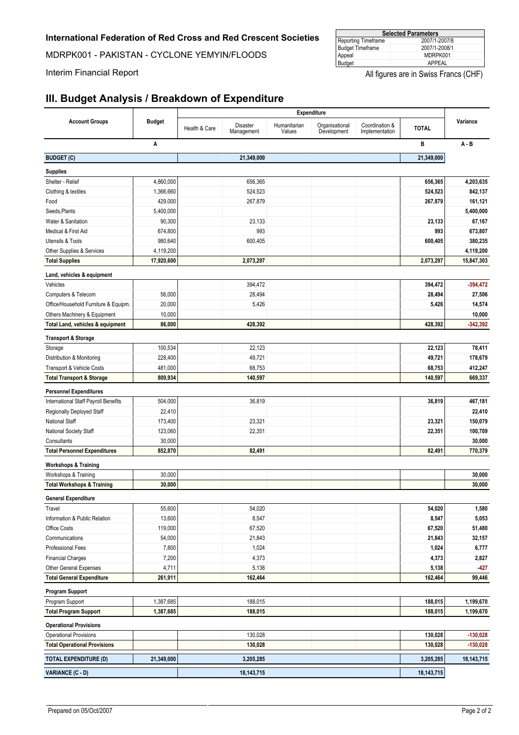MDRPK001 - PAKISTAN - CYCLONE YEMYIN/FLOODS

| <b>Selected Parameters</b> |               |  |  |  |
|----------------------------|---------------|--|--|--|
| Reporting Timeframe        | 2007/1-2007/8 |  |  |  |
| Budget Timeframe           | 2007/1-2008/1 |  |  |  |
| Appeal                     | MDRPK001      |  |  |  |
| Budget                     | APPEAL        |  |  |  |

Interim Financial Report **All figures** are in Swiss Francs (CHF)

## **III. Budget Analysis / Breakdown of Expenditure**

|                                       |               | <b>Expenditure</b> |                        |                        |                               |                                  |              |              |
|---------------------------------------|---------------|--------------------|------------------------|------------------------|-------------------------------|----------------------------------|--------------|--------------|
| <b>Account Groups</b>                 | <b>Budget</b> | Health & Care      | Disaster<br>Management | Humanitarian<br>Values | Organisational<br>Development | Coordination &<br>Implementation | <b>TOTAL</b> | Variance     |
|                                       | Α             |                    |                        |                        |                               |                                  | B            | $A - B$      |
| <b>BUDGET (C)</b>                     |               |                    | 21,349,000             |                        |                               |                                  | 21,349,000   |              |
| <b>Supplies</b>                       |               |                    |                        |                        |                               |                                  |              |              |
| Shelter - Relief                      | 4,860,000     |                    | 656,365                |                        |                               |                                  | 656,365      | 4,203,635    |
| Clothing & textiles                   | 1,366,660     |                    | 524,523                |                        |                               |                                  | 524,523      | 842,137      |
| Food                                  | 429,000       |                    | 267,879                |                        |                               |                                  | 267,879      | 161,121      |
| Seeds, Plants                         | 5,400,000     |                    |                        |                        |                               |                                  |              | 5,400,000    |
| Water & Sanitation                    | 90,300        |                    | 23,133                 |                        |                               |                                  | 23,133       | 67,167       |
| Medical & First Aid                   | 674,800       |                    | 993                    |                        |                               |                                  | 993          | 673,807      |
| Utensils & Tools                      | 980,640       |                    | 600,405                |                        |                               |                                  | 600,405      | 380,235      |
| Other Supplies & Services             | 4,119,200     |                    |                        |                        |                               |                                  |              | 4,119,200    |
| <b>Total Supplies</b>                 | 17,920,600    |                    | 2,073,297              |                        |                               |                                  | 2,073,297    | 15,847,303   |
| Land, vehicles & equipment            |               |                    |                        |                        |                               |                                  |              |              |
| Vehicles                              |               |                    | 394,472                |                        |                               |                                  | 394,472      | $-394,472$   |
| Computers & Telecom                   | 56,000        |                    | 28,494                 |                        |                               |                                  | 28,494       | 27,506       |
| Office/Household Furniture & Equipm.  | 20,000        |                    | 5,426                  |                        |                               |                                  | 5,426        | 14,574       |
| Others Machinery & Equipment          | 10,000        |                    |                        |                        |                               |                                  |              | 10,000       |
| Total Land, vehicles & equipment      | 86,000        |                    | 428,392                |                        |                               |                                  | 428,392      | $-342,392$   |
|                                       |               |                    |                        |                        |                               |                                  |              |              |
| <b>Transport &amp; Storage</b>        | 100,534       |                    |                        |                        |                               |                                  |              |              |
| Storage                               |               |                    | 22,123                 |                        |                               |                                  | 22,123       | 78,411       |
| Distribution & Monitoring             | 228,400       |                    | 49,721                 |                        |                               |                                  | 49,721       | 178,679      |
| Transport & Vehicle Costs             | 481,000       |                    | 68,753                 |                        |                               |                                  | 68,753       | 412,247      |
| <b>Total Transport &amp; Storage</b>  | 809,934       |                    | 140,597                |                        |                               |                                  | 140,597      | 669,337      |
| <b>Personnel Expenditures</b>         |               |                    |                        |                        |                               |                                  |              |              |
| International Staff Payroll Benefits  | 504,000       |                    | 36,819                 |                        |                               |                                  | 36,819       | 467,181      |
| Regionally Deployed Staff             | 22,410        |                    |                        |                        |                               |                                  |              | 22,410       |
| <b>National Staff</b>                 | 173,400       |                    | 23,321                 |                        |                               |                                  | 23,321       | 150,079      |
| National Society Staff                | 123,060       |                    | 22,351                 |                        |                               |                                  | 22,351       | 100,709      |
| Consultants                           | 30,000        |                    |                        |                        |                               |                                  |              | 30,000       |
| <b>Total Personnel Expenditures</b>   | 852,870       |                    | 82,491                 |                        |                               |                                  | 82,491       | 770,379      |
| <b>Workshops &amp; Training</b>       |               |                    |                        |                        |                               |                                  |              |              |
| Workshops & Training                  | 30,000        |                    |                        |                        |                               |                                  |              | 30,000       |
| <b>Total Workshops &amp; Training</b> | 30,000        |                    |                        |                        |                               |                                  |              | 30,000       |
| <b>General Expenditure</b>            |               |                    |                        |                        |                               |                                  |              |              |
| Travel                                | 55,600        |                    | 54,020                 |                        |                               |                                  | 54,020       | 1,580        |
| Information & Public Relation         | 13,600        |                    | 8,547                  |                        |                               |                                  | 8,547        | 5,053        |
| Office Costs                          | 119,000       |                    | 67,520                 |                        |                               |                                  | 67,520       | 51,480       |
| Communications                        | 54,000        |                    | 21,843                 |                        |                               |                                  | 21,843       | 32,157       |
| Professional Fees                     | 7,800         |                    | 1,024                  |                        |                               |                                  | 1,024        | 6,777        |
| <b>Financial Charges</b>              | 7,200         |                    | 4,373                  |                        |                               |                                  | 4,373        | 2,827        |
| Other General Expenses                | 4,711         |                    | 5,138                  |                        |                               |                                  | 5,138        | $-427$       |
| <b>Total General Expenditure</b>      | 261,911       |                    | 162,464                |                        |                               |                                  | 162,464      | 99,446       |
| <b>Program Support</b>                |               |                    |                        |                        |                               |                                  |              |              |
| Program Support                       | 1,387,685     |                    | 188,015                |                        |                               |                                  | 188,015      | 1,199,670    |
| <b>Total Program Support</b>          | 1,387,685     |                    | 188,015                |                        |                               |                                  | 188,015      | 1,199,670    |
| <b>Operational Provisions</b>         |               |                    |                        |                        |                               |                                  |              |              |
| <b>Operational Provisions</b>         |               |                    | 130,028                |                        |                               |                                  | 130,028      | $-130,028$   |
| <b>Total Operational Provisions</b>   |               |                    | 130,028                |                        |                               |                                  | 130,028      | $-130,028$   |
| <b>TOTAL EXPENDITURE (D)</b>          | 21,349,000    |                    | 3,205,285              |                        |                               |                                  | 3,205,285    | 18, 143, 715 |
| <b>VARIANCE (C - D)</b>               |               |                    | 18, 143, 715           |                        |                               |                                  | 18, 143, 715 |              |